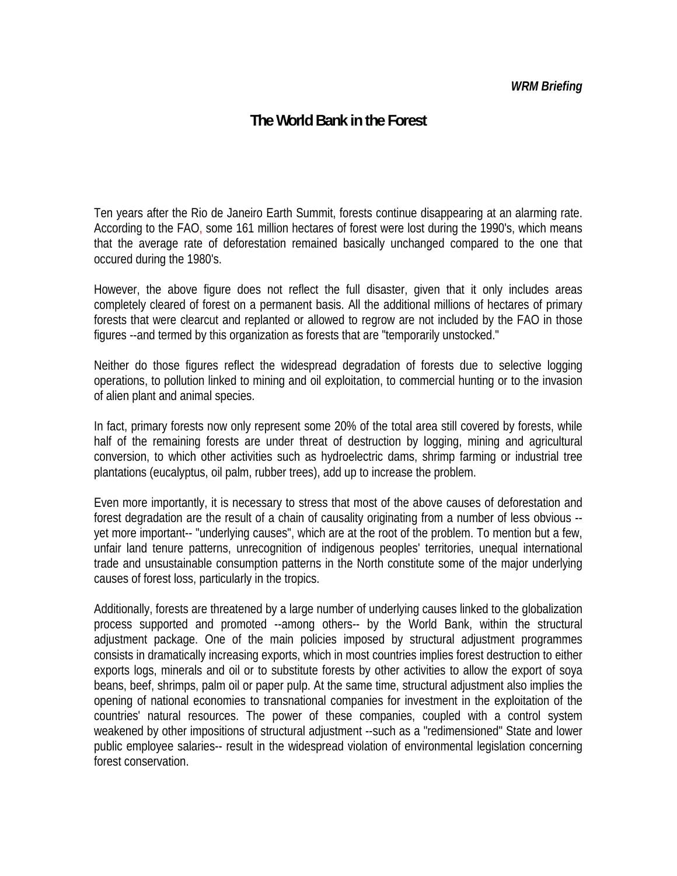#### *WRM Briefing*

# **The World Bank in the Forest**

Ten years after the Rio de Janeiro Earth Summit, forests continue disappearing at an alarming rate. According to the FAO, some 161 million hectares of forest were lost during the 1990's, which means that the average rate of deforestation remained basically unchanged compared to the one that occured during the 1980's.

However, the above figure does not reflect the full disaster, given that it only includes areas completely cleared of forest on a permanent basis. All the additional millions of hectares of primary forests that were clearcut and replanted or allowed to regrow are not included by the FAO in those figures --and termed by this organization as forests that are "temporarily unstocked."

Neither do those figures reflect the widespread degradation of forests due to selective logging operations, to pollution linked to mining and oil exploitation, to commercial hunting or to the invasion of alien plant and animal species.

In fact, primary forests now only represent some 20% of the total area still covered by forests, while half of the remaining forests are under threat of destruction by logging, mining and agricultural conversion, to which other activities such as hydroelectric dams, shrimp farming or industrial tree plantations (eucalyptus, oil palm, rubber trees), add up to increase the problem.

Even more importantly, it is necessary to stress that most of the above causes of deforestation and forest degradation are the result of a chain of causality originating from a number of less obvious - yet more important-- "underlying causes", which are at the root of the problem. To mention but a few, unfair land tenure patterns, unrecognition of indigenous peoples' territories, unequal international trade and unsustainable consumption patterns in the North constitute some of the major underlying causes of forest loss, particularly in the tropics.

Additionally, forests are threatened by a large number of underlying causes linked to the globalization process supported and promoted --among others-- by the World Bank, within the structural adjustment package. One of the main policies imposed by structural adjustment programmes consists in dramatically increasing exports, which in most countries implies forest destruction to either exports logs, minerals and oil or to substitute forests by other activities to allow the export of soya beans, beef, shrimps, palm oil or paper pulp. At the same time, structural adjustment also implies the opening of national economies to transnational companies for investment in the exploitation of the countries' natural resources. The power of these companies, coupled with a control system weakened by other impositions of structural adjustment --such as a "redimensioned" State and lower public employee salaries-- result in the widespread violation of environmental legislation concerning forest conservation.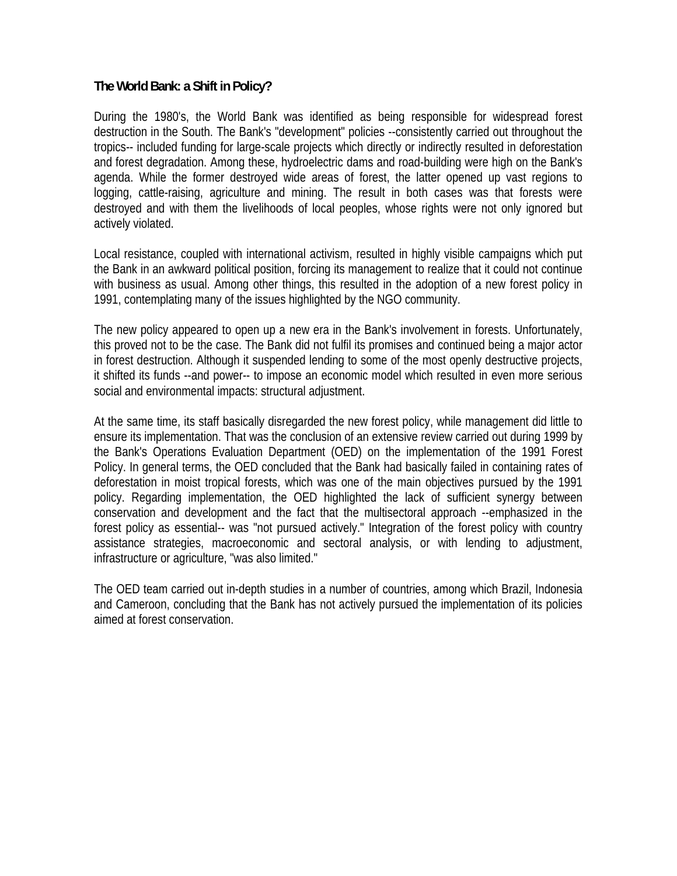### **The World Bank: a Shift in Policy?**

During the 1980's, the World Bank was identified as being responsible for widespread forest destruction in the South. The Bank's "development" policies --consistently carried out throughout the tropics-- included funding for large-scale projects which directly or indirectly resulted in deforestation and forest degradation. Among these, hydroelectric dams and road-building were high on the Bank's agenda. While the former destroyed wide areas of forest, the latter opened up vast regions to logging, cattle-raising, agriculture and mining. The result in both cases was that forests were destroyed and with them the livelihoods of local peoples, whose rights were not only ignored but actively violated.

Local resistance, coupled with international activism, resulted in highly visible campaigns which put the Bank in an awkward political position, forcing its management to realize that it could not continue with business as usual. Among other things, this resulted in the adoption of a new forest policy in 1991, contemplating many of the issues highlighted by the NGO community.

The new policy appeared to open up a new era in the Bank's involvement in forests. Unfortunately, this proved not to be the case. The Bank did not fulfil its promises and continued being a major actor in forest destruction. Although it suspended lending to some of the most openly destructive projects, it shifted its funds --and power-- to impose an economic model which resulted in even more serious social and environmental impacts: structural adjustment.

At the same time, its staff basically disregarded the new forest policy, while management did little to ensure its implementation. That was the conclusion of an extensive review carried out during 1999 by the Bank's Operations Evaluation Department (OED) on the implementation of the 1991 Forest Policy. In general terms, the OED concluded that the Bank had basically failed in containing rates of deforestation in moist tropical forests, which was one of the main objectives pursued by the 1991 policy. Regarding implementation, the OED highlighted the lack of sufficient synergy between conservation and development and the fact that the multisectoral approach --emphasized in the forest policy as essential-- was "not pursued actively." Integration of the forest policy with country assistance strategies, macroeconomic and sectoral analysis, or with lending to adjustment, infrastructure or agriculture, "was also limited."

The OED team carried out in-depth studies in a number of countries, among which Brazil, Indonesia and Cameroon, concluding that the Bank has not actively pursued the implementation of its policies aimed at forest conservation.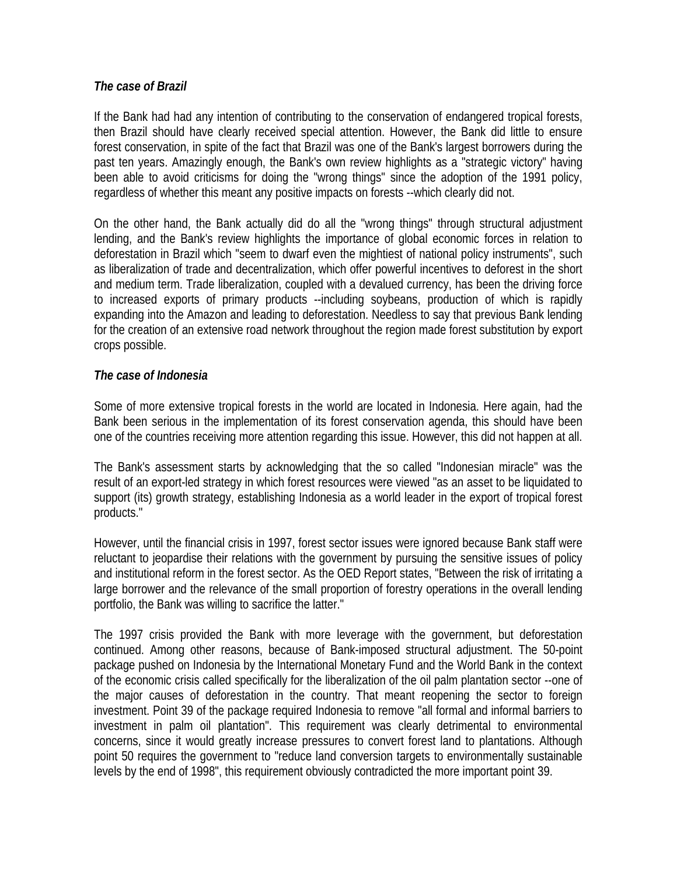### *The case of Brazil*

If the Bank had had any intention of contributing to the conservation of endangered tropical forests, then Brazil should have clearly received special attention. However, the Bank did little to ensure forest conservation, in spite of the fact that Brazil was one of the Bank's largest borrowers during the past ten years. Amazingly enough, the Bank's own review highlights as a "strategic victory" having been able to avoid criticisms for doing the "wrong things" since the adoption of the 1991 policy, regardless of whether this meant any positive impacts on forests --which clearly did not.

On the other hand, the Bank actually did do all the "wrong things" through structural adjustment lending, and the Bank's review highlights the importance of global economic forces in relation to deforestation in Brazil which "seem to dwarf even the mightiest of national policy instruments", such as liberalization of trade and decentralization, which offer powerful incentives to deforest in the short and medium term. Trade liberalization, coupled with a devalued currency, has been the driving force to increased exports of primary products --including soybeans, production of which is rapidly expanding into the Amazon and leading to deforestation. Needless to say that previous Bank lending for the creation of an extensive road network throughout the region made forest substitution by export crops possible.

## *The case of Indonesia*

Some of more extensive tropical forests in the world are located in Indonesia. Here again, had the Bank been serious in the implementation of its forest conservation agenda, this should have been one of the countries receiving more attention regarding this issue. However, this did not happen at all.

The Bank's assessment starts by acknowledging that the so called "Indonesian miracle" was the result of an export-led strategy in which forest resources were viewed "as an asset to be liquidated to support (its) growth strategy, establishing Indonesia as a world leader in the export of tropical forest products."

However, until the financial crisis in 1997, forest sector issues were ignored because Bank staff were reluctant to jeopardise their relations with the government by pursuing the sensitive issues of policy and institutional reform in the forest sector. As the OED Report states, "Between the risk of irritating a large borrower and the relevance of the small proportion of forestry operations in the overall lending portfolio, the Bank was willing to sacrifice the latter."

The 1997 crisis provided the Bank with more leverage with the government, but deforestation continued. Among other reasons, because of Bank-imposed structural adjustment. The 50-point package pushed on Indonesia by the International Monetary Fund and the World Bank in the context of the economic crisis called specifically for the liberalization of the oil palm plantation sector --one of the major causes of deforestation in the country. That meant reopening the sector to foreign investment. Point 39 of the package required Indonesia to remove "all formal and informal barriers to investment in palm oil plantation". This requirement was clearly detrimental to environmental concerns, since it would greatly increase pressures to convert forest land to plantations. Although point 50 requires the government to "reduce land conversion targets to environmentally sustainable levels by the end of 1998", this requirement obviously contradicted the more important point 39.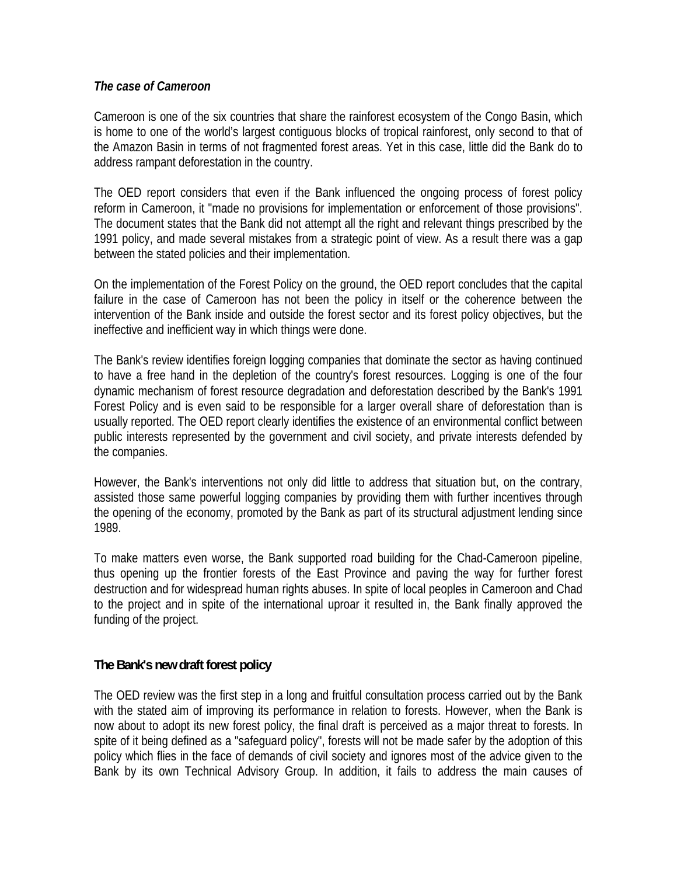### *The case of Cameroon*

Cameroon is one of the six countries that share the rainforest ecosystem of the Congo Basin, which is home to one of the world's largest contiguous blocks of tropical rainforest, only second to that of the Amazon Basin in terms of not fragmented forest areas. Yet in this case, little did the Bank do to address rampant deforestation in the country.

The OED report considers that even if the Bank influenced the ongoing process of forest policy reform in Cameroon, it "made no provisions for implementation or enforcement of those provisions". The document states that the Bank did not attempt all the right and relevant things prescribed by the 1991 policy, and made several mistakes from a strategic point of view. As a result there was a gap between the stated policies and their implementation.

On the implementation of the Forest Policy on the ground, the OED report concludes that the capital failure in the case of Cameroon has not been the policy in itself or the coherence between the intervention of the Bank inside and outside the forest sector and its forest policy objectives, but the ineffective and inefficient way in which things were done.

The Bank's review identifies foreign logging companies that dominate the sector as having continued to have a free hand in the depletion of the country's forest resources. Logging is one of the four dynamic mechanism of forest resource degradation and deforestation described by the Bank's 1991 Forest Policy and is even said to be responsible for a larger overall share of deforestation than is usually reported. The OED report clearly identifies the existence of an environmental conflict between public interests represented by the government and civil society, and private interests defended by the companies.

However, the Bank's interventions not only did little to address that situation but, on the contrary, assisted those same powerful logging companies by providing them with further incentives through the opening of the economy, promoted by the Bank as part of its structural adjustment lending since 1989.

To make matters even worse, the Bank supported road building for the Chad-Cameroon pipeline, thus opening up the frontier forests of the East Province and paving the way for further forest destruction and for widespread human rights abuses. In spite of local peoples in Cameroon and Chad to the project and in spite of the international uproar it resulted in, the Bank finally approved the funding of the project.

## **The Bank's new draft forest policy**

The OED review was the first step in a long and fruitful consultation process carried out by the Bank with the stated aim of improving its performance in relation to forests. However, when the Bank is now about to adopt its new forest policy, the final draft is perceived as a major threat to forests. In spite of it being defined as a "safeguard policy", forests will not be made safer by the adoption of this policy which flies in the face of demands of civil society and ignores most of the advice given to the Bank by its own Technical Advisory Group. In addition, it fails to address the main causes of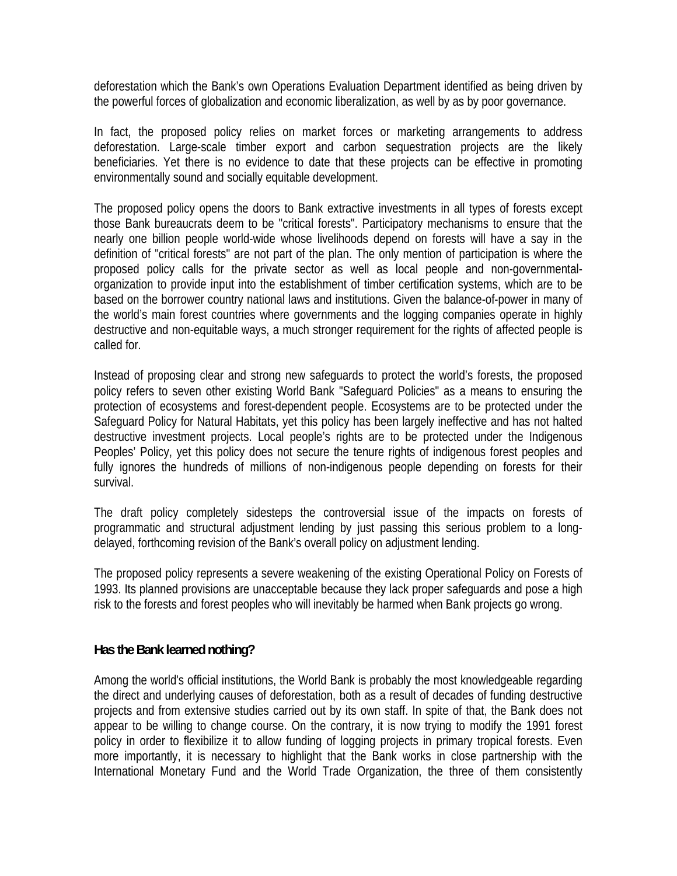deforestation which the Bank's own Operations Evaluation Department identified as being driven by the powerful forces of globalization and economic liberalization, as well by as by poor governance.

In fact, the proposed policy relies on market forces or marketing arrangements to address deforestation. Large-scale timber export and carbon sequestration projects are the likely beneficiaries. Yet there is no evidence to date that these projects can be effective in promoting environmentally sound and socially equitable development.

The proposed policy opens the doors to Bank extractive investments in all types of forests except those Bank bureaucrats deem to be "critical forests". Participatory mechanisms to ensure that the nearly one billion people world-wide whose livelihoods depend on forests will have a say in the definition of "critical forests" are not part of the plan. The only mention of participation is where the proposed policy calls for the private sector as well as local people and non-governmentalorganization to provide input into the establishment of timber certification systems, which are to be based on the borrower country national laws and institutions. Given the balance-of-power in many of the world's main forest countries where governments and the logging companies operate in highly destructive and non-equitable ways, a much stronger requirement for the rights of affected people is called for.

Instead of proposing clear and strong new safeguards to protect the world's forests, the proposed policy refers to seven other existing World Bank "Safeguard Policies" as a means to ensuring the protection of ecosystems and forest-dependent people. Ecosystems are to be protected under the Safeguard Policy for Natural Habitats, yet this policy has been largely ineffective and has not halted destructive investment projects. Local people's rights are to be protected under the Indigenous Peoples' Policy, yet this policy does not secure the tenure rights of indigenous forest peoples and fully ignores the hundreds of millions of non-indigenous people depending on forests for their survival.

The draft policy completely sidesteps the controversial issue of the impacts on forests of programmatic and structural adjustment lending by just passing this serious problem to a longdelayed, forthcoming revision of the Bank's overall policy on adjustment lending.

The proposed policy represents a severe weakening of the existing Operational Policy on Forests of 1993. Its planned provisions are unacceptable because they lack proper safeguards and pose a high risk to the forests and forest peoples who will inevitably be harmed when Bank projects go wrong.

## **Has the Bank learned nothing?**

Among the world's official institutions, the World Bank is probably the most knowledgeable regarding the direct and underlying causes of deforestation, both as a result of decades of funding destructive projects and from extensive studies carried out by its own staff. In spite of that, the Bank does not appear to be willing to change course. On the contrary, it is now trying to modify the 1991 forest policy in order to flexibilize it to allow funding of logging projects in primary tropical forests. Even more importantly, it is necessary to highlight that the Bank works in close partnership with the International Monetary Fund and the World Trade Organization, the three of them consistently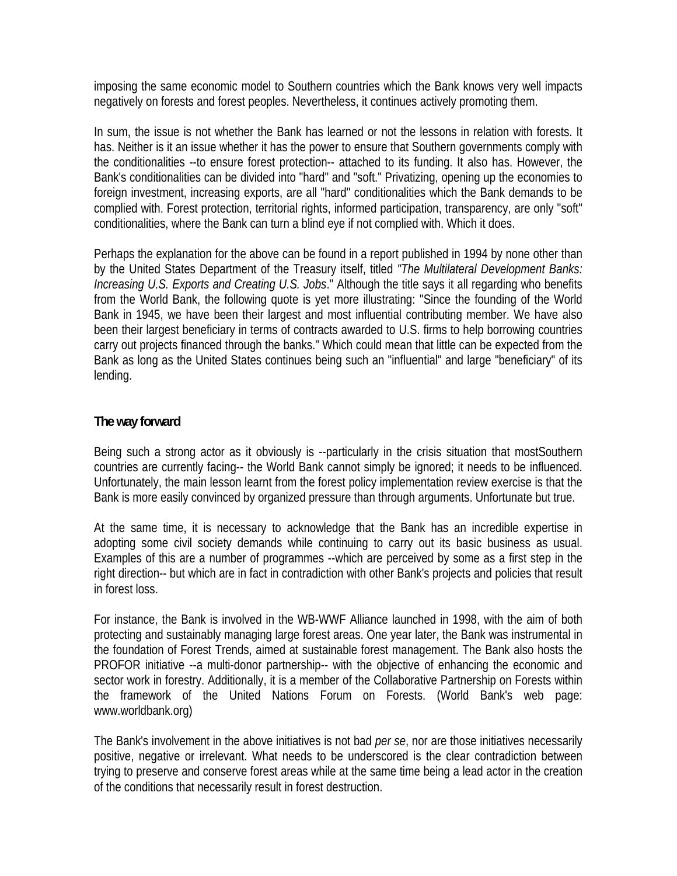imposing the same economic model to Southern countries which the Bank knows very well impacts negatively on forests and forest peoples. Nevertheless, it continues actively promoting them.

In sum, the issue is not whether the Bank has learned or not the lessons in relation with forests. It has. Neither is it an issue whether it has the power to ensure that Southern governments comply with the conditionalities --to ensure forest protection-- attached to its funding. It also has. However, the Bank's conditionalities can be divided into "hard" and "soft." Privatizing, opening up the economies to foreign investment, increasing exports, are all "hard" conditionalities which the Bank demands to be complied with. Forest protection, territorial rights, informed participation, transparency, are only "soft" conditionalities, where the Bank can turn a blind eye if not complied with. Which it does.

Perhaps the explanation for the above can be found in a report published in 1994 by none other than by the United States Department of the Treasury itself, titled *"The Multilateral Development Banks: Increasing U.S. Exports and Creating U.S. Jobs*." Although the title says it all regarding who benefits from the World Bank, the following quote is yet more illustrating: "Since the founding of the World Bank in 1945, we have been their largest and most influential contributing member. We have also been their largest beneficiary in terms of contracts awarded to U.S. firms to help borrowing countries carry out projects financed through the banks." Which could mean that little can be expected from the Bank as long as the United States continues being such an "influential" and large "beneficiary" of its lending.

## **The way forward**

Being such a strong actor as it obviously is --particularly in the crisis situation that mostSouthern countries are currently facing-- the World Bank cannot simply be ignored; it needs to be influenced. Unfortunately, the main lesson learnt from the forest policy implementation review exercise is that the Bank is more easily convinced by organized pressure than through arguments. Unfortunate but true.

At the same time, it is necessary to acknowledge that the Bank has an incredible expertise in adopting some civil society demands while continuing to carry out its basic business as usual. Examples of this are a number of programmes --which are perceived by some as a first step in the right direction-- but which are in fact in contradiction with other Bank's projects and policies that result in forest loss.

For instance, the Bank is involved in the WB-WWF Alliance launched in 1998, with the aim of both protecting and sustainably managing large forest areas. One year later, the Bank was instrumental in the foundation of Forest Trends, aimed at sustainable forest management. The Bank also hosts the PROFOR initiative --a multi-donor partnership-- with the objective of enhancing the economic and sector work in forestry. Additionally, it is a member of the Collaborative Partnership on Forests within the framework of the United Nations Forum on Forests. (World Bank's web page: www.worldbank.org)

The Bank's involvement in the above initiatives is not bad *per se*, nor are those initiatives necessarily positive, negative or irrelevant. What needs to be underscored is the clear contradiction between trying to preserve and conserve forest areas while at the same time being a lead actor in the creation of the conditions that necessarily result in forest destruction.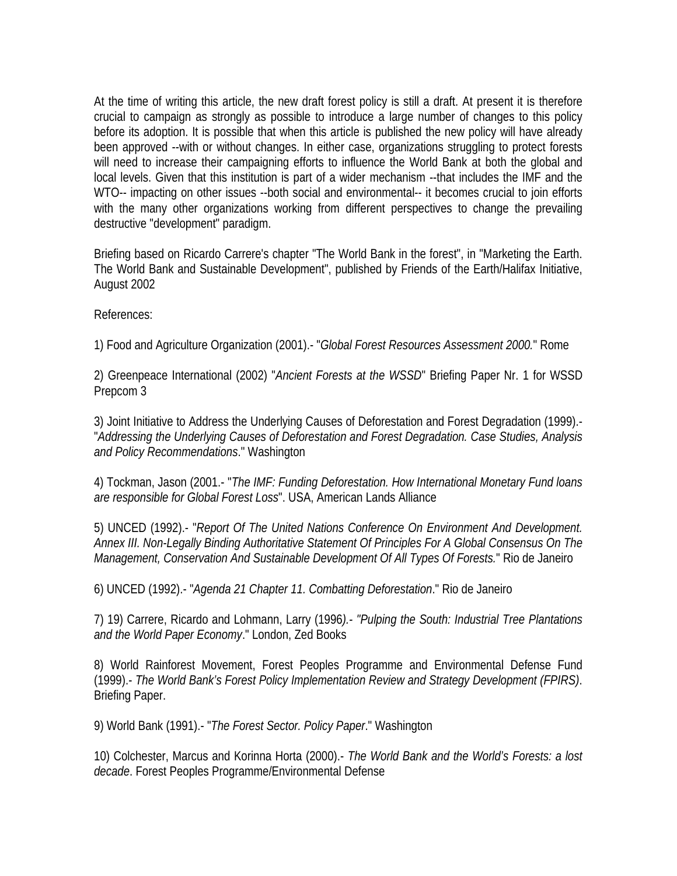At the time of writing this article, the new draft forest policy is still a draft. At present it is therefore crucial to campaign as strongly as possible to introduce a large number of changes to this policy before its adoption. It is possible that when this article is published the new policy will have already been approved --with or without changes. In either case, organizations struggling to protect forests will need to increase their campaigning efforts to influence the World Bank at both the global and local levels. Given that this institution is part of a wider mechanism --that includes the IMF and the WTO-- impacting on other issues --both social and environmental-- it becomes crucial to join efforts with the many other organizations working from different perspectives to change the prevailing destructive "development" paradigm.

Briefing based on Ricardo Carrere's chapter "The World Bank in the forest", in "Marketing the Earth. The World Bank and Sustainable Development", published by Friends of the Earth/Halifax Initiative, August 2002

References:

1) Food and Agriculture Organization (2001).- "*Global Forest Resources Assessment 2000.*" Rome

2) Greenpeace International (2002) "*Ancient Forests at the WSSD*" Briefing Paper Nr. 1 for WSSD Prepcom 3

3) Joint Initiative to Address the Underlying Causes of Deforestation and Forest Degradation (1999).- "*Addressing the Underlying Causes of Deforestation and Forest Degradation. Case Studies, Analysis and Policy Recommendations*." Washington

4) Tockman, Jason (2001.- "*The IMF: Funding Deforestation. How International Monetary Fund loans are responsible for Global Forest Loss*". USA, American Lands Alliance

5) UNCED (1992).- "*Report Of The United Nations Conference On Environment And Development. Annex III. Non-Legally Binding Authoritative Statement Of Principles For A Global Consensus On The Management, Conservation And Sustainable Development Of All Types Of Forests.*" Rio de Janeiro

6) UNCED (1992).- "*Agenda 21 Chapter 11. Combatting Deforestation*." Rio de Janeiro

7) 19) Carrere, Ricardo and Lohmann, Larry (1996*).- "Pulping the South: Industrial Tree Plantations and the World Paper Economy*." London, Zed Books

8) World Rainforest Movement, Forest Peoples Programme and Environmental Defense Fund (1999).- *The World Bank's Forest Policy Implementation Review and Strategy Development (FPIRS)*. Briefing Paper.

9) World Bank (1991).- "*The Forest Sector. Policy Paper*." Washington

10) Colchester, Marcus and Korinna Horta (2000).- *The World Bank and the World's Forests: a lost decade*. Forest Peoples Programme/Environmental Defense